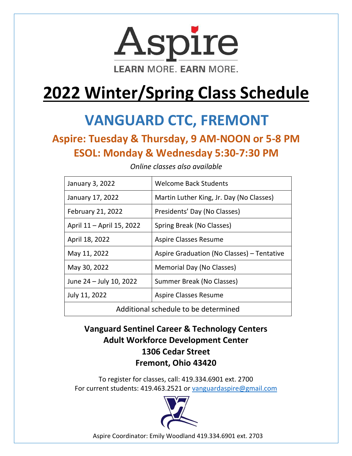

# **2022 Winter/Spring Class Schedule**

## **VANGUARD CTC, FREMONT**

### **Aspire: Tuesday & Thursday, 9 AM-NOON or 5-8 PM ESOL: Monday & Wednesday 5:30-7:30 PM**

| January 3, 2022                      | <b>Welcome Back Students</b>               |
|--------------------------------------|--------------------------------------------|
| January 17, 2022                     | Martin Luther King, Jr. Day (No Classes)   |
| February 21, 2022                    | Presidents' Day (No Classes)               |
| April 11 - April 15, 2022            | Spring Break (No Classes)                  |
| April 18, 2022                       | Aspire Classes Resume                      |
| May 11, 2022                         | Aspire Graduation (No Classes) – Tentative |
| May 30, 2022                         | Memorial Day (No Classes)                  |
| June 24 - July 10, 2022              | Summer Break (No Classes)                  |
| July 11, 2022                        | Aspire Classes Resume                      |
| Additional schedule to be determined |                                            |

*Online classes also available*

**Vanguard Sentinel Career & Technology Centers Adult Workforce Development Center 1306 Cedar Street Fremont, Ohio 43420** 

To register for classes, call: 419.334.6901 ext. 2700 For current students: 419.463.2521 or [vanguardaspire@gmail.com](mailto:vanguardaspire@gmail.com)



Aspire Coordinator: Emily Woodland 419.334.6901 ext. 2703